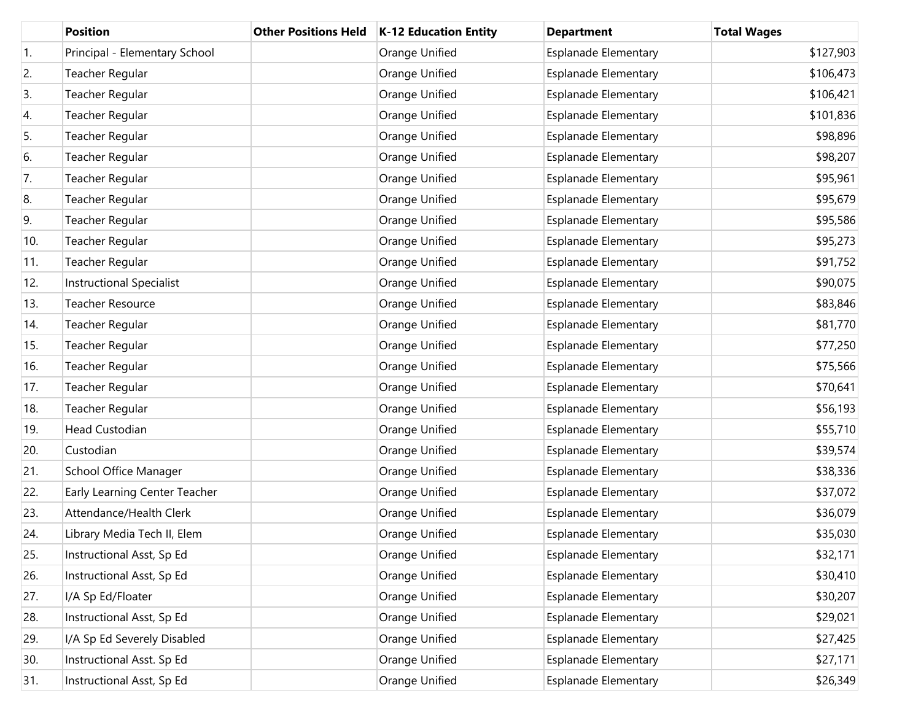|                  | <b>Position</b>                 | <b>Other Positions Held</b> | K-12 Education Entity | <b>Department</b>           | <b>Total Wages</b> |
|------------------|---------------------------------|-----------------------------|-----------------------|-----------------------------|--------------------|
| $\overline{1}$ . | Principal - Elementary School   |                             | Orange Unified        | <b>Esplanade Elementary</b> | \$127,903          |
| 2.               | Teacher Regular                 |                             | Orange Unified        | <b>Esplanade Elementary</b> | \$106,473          |
| 3.               | Teacher Regular                 |                             | Orange Unified        | Esplanade Elementary        | \$106,421          |
| 4.               | Teacher Regular                 |                             | Orange Unified        | <b>Esplanade Elementary</b> | \$101,836          |
| 5.               | Teacher Regular                 |                             | Orange Unified        | <b>Esplanade Elementary</b> | \$98,896           |
| 6.               | Teacher Regular                 |                             | Orange Unified        | <b>Esplanade Elementary</b> | \$98,207           |
| 7.               | Teacher Regular                 |                             | Orange Unified        | <b>Esplanade Elementary</b> | \$95,961           |
| 8.               | Teacher Regular                 |                             | Orange Unified        | <b>Esplanade Elementary</b> | \$95,679           |
| 9.               | Teacher Regular                 |                             | Orange Unified        | Esplanade Elementary        | \$95,586           |
| 10.              | Teacher Regular                 |                             | Orange Unified        | <b>Esplanade Elementary</b> | \$95,273           |
| 11.              | Teacher Regular                 |                             | Orange Unified        | Esplanade Elementary        | \$91,752           |
| 12.              | <b>Instructional Specialist</b> |                             | Orange Unified        | <b>Esplanade Elementary</b> | \$90,075           |
| 13.              | <b>Teacher Resource</b>         |                             | Orange Unified        | Esplanade Elementary        | \$83,846           |
| 14.              | Teacher Regular                 |                             | Orange Unified        | <b>Esplanade Elementary</b> | \$81,770           |
| 15.              | Teacher Regular                 |                             | Orange Unified        | Esplanade Elementary        | \$77,250           |
| 16.              | Teacher Regular                 |                             | Orange Unified        | <b>Esplanade Elementary</b> | \$75,566           |
| 17.              | Teacher Regular                 |                             | Orange Unified        | Esplanade Elementary        | \$70,641           |
| 18.              | Teacher Regular                 |                             | Orange Unified        | <b>Esplanade Elementary</b> | \$56,193           |
| 19.              | Head Custodian                  |                             | Orange Unified        | Esplanade Elementary        | \$55,710           |
| 20.              | Custodian                       |                             | Orange Unified        | <b>Esplanade Elementary</b> | \$39,574           |
| 21.              | School Office Manager           |                             | Orange Unified        | Esplanade Elementary        | \$38,336           |
| 22.              | Early Learning Center Teacher   |                             | Orange Unified        | <b>Esplanade Elementary</b> | \$37,072           |
| 23.              | Attendance/Health Clerk         |                             | Orange Unified        | <b>Esplanade Elementary</b> | \$36,079           |
| 24.              | Library Media Tech II, Elem     |                             | Orange Unified        | <b>Esplanade Elementary</b> | \$35,030           |
| 25.              | Instructional Asst, Sp Ed       |                             | Orange Unified        | <b>Esplanade Elementary</b> | \$32,171           |
| 26.              | Instructional Asst, Sp Ed       |                             | Orange Unified        | <b>Esplanade Elementary</b> | \$30,410           |
| 27.              | I/A Sp Ed/Floater               |                             | Orange Unified        | <b>Esplanade Elementary</b> | \$30,207           |
| 28.              | Instructional Asst, Sp Ed       |                             | Orange Unified        | Esplanade Elementary        | \$29,021           |
| 29.              | I/A Sp Ed Severely Disabled     |                             | Orange Unified        | <b>Esplanade Elementary</b> | \$27,425           |
| 30.              | Instructional Asst. Sp Ed       |                             | Orange Unified        | <b>Esplanade Elementary</b> | \$27,171           |
| 31.              | Instructional Asst, Sp Ed       |                             | Orange Unified        | <b>Esplanade Elementary</b> | \$26,349           |